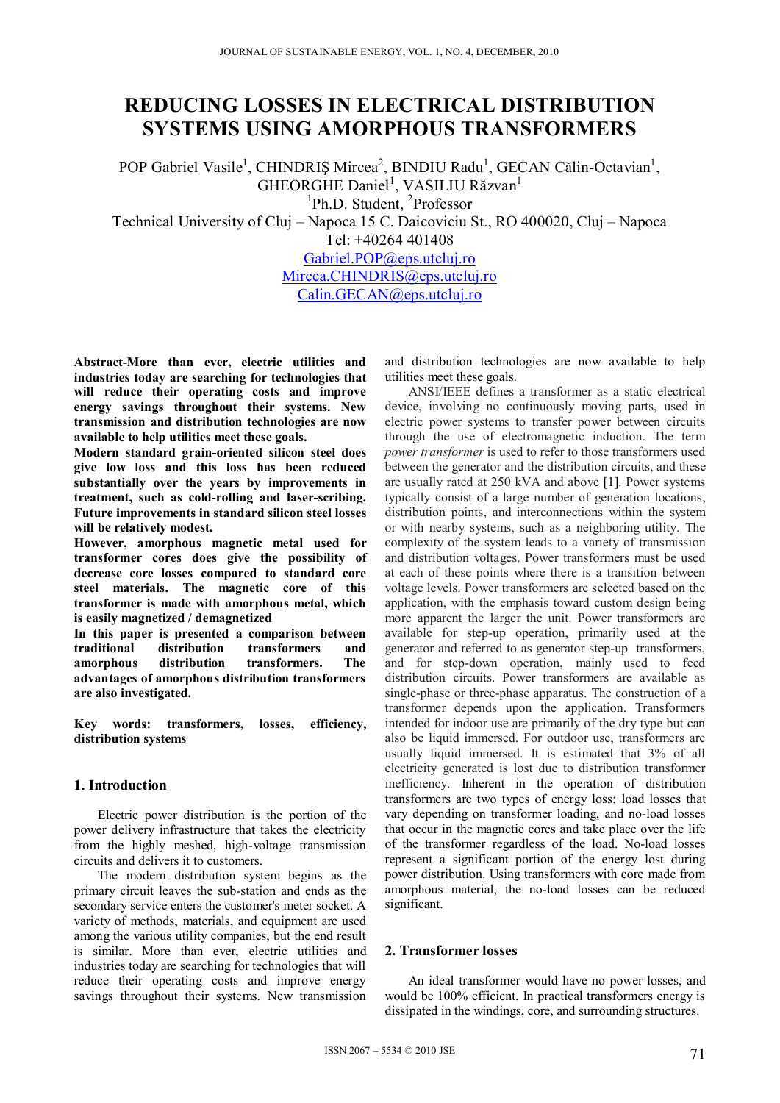# **REDUCING LOSSES IN ELECTRICAL DISTRIBUTION SYSTEMS USING AMORPHOUS TRANSFORMERS**

POP Gabriel Vasile<sup>1</sup>, CHINDRIȘ Mircea<sup>2</sup>, BINDIU Radu<sup>1</sup>, GECAN Călin-Octavian<sup>1</sup>, GHEORGHE Daniel<sup>1</sup>, VASILIU Răzvan<sup>1</sup>

<sup>1</sup>Ph.D. Student, <sup>2</sup>Professor

Technical University of Cluj – Napoca 15 C. Daicoviciu St., RO 400020, Cluj – Napoca Tel: +40264 401408

Gabriel.POP@eps.utcluj.ro Mircea.CHINDRIS@eps.utcluj.ro

Calin.GECAN@eps.utcluj.ro

**Abstract-More than ever, electric utilities and industries today are searching for technologies that will reduce their operating costs and improve energy savings throughout their systems. New transmission and distribution technologies are now available to help utilities meet these goals.** 

**Modern standard grain-oriented silicon steel does give low loss and this loss has been reduced substantially over the years by improvements in treatment, such as cold-rolling and laser-scribing. Future improvements in standard silicon steel losses will be relatively modest.** 

**However, amorphous magnetic metal used for transformer cores does give the possibility of decrease core losses compared to standard core steel materials. The magnetic core of this transformer is made with amorphous metal, which is easily magnetized / demagnetized** 

**In this paper is presented a comparison between traditional distribution transformers and amorphous distribution transformers. The advantages of amorphous distribution transformers are also investigated.** 

**Key words: transformers, losses, efficiency, distribution systems** 

## **1. Introduction**

Electric power distribution is the portion of the power delivery infrastructure that takes the electricity from the highly meshed, high-voltage transmission circuits and delivers it to customers.

The modern distribution system begins as the primary circuit leaves the sub-station and ends as the secondary service enters the customer's meter socket. A variety of methods, materials, and equipment are used among the various utility companies, but the end result is similar. More than ever, electric utilities and industries today are searching for technologies that will reduce their operating costs and improve energy savings throughout their systems. New transmission

and distribution technologies are now available to help utilities meet these goals.

ANSI/IEEE defines a transformer as a static electrical device, involving no continuously moving parts, used in electric power systems to transfer power between circuits through the use of electromagnetic induction. The term *power transformer* is used to refer to those transformers used between the generator and the distribution circuits, and these are usually rated at 250 kVA and above [1]. Power systems typically consist of a large number of generation locations, distribution points, and interconnections within the system or with nearby systems, such as a neighboring utility. The complexity of the system leads to a variety of transmission and distribution voltages. Power transformers must be used at each of these points where there is a transition between voltage levels. Power transformers are selected based on the application, with the emphasis toward custom design being more apparent the larger the unit. Power transformers are available for step-up operation, primarily used at the generator and referred to as generator step-up transformers, and for step-down operation, mainly used to feed distribution circuits. Power transformers are available as single-phase or three-phase apparatus. The construction of a transformer depends upon the application. Transformers intended for indoor use are primarily of the dry type but can also be liquid immersed. For outdoor use, transformers are usually liquid immersed. It is estimated that 3% of all electricity generated is lost due to distribution transformer inefficiency. Inherent in the operation of distribution transformers are two types of energy loss: load losses that vary depending on transformer loading, and no-load losses that occur in the magnetic cores and take place over the life of the transformer regardless of the load. No-load losses represent a significant portion of the energy lost during power distribution. Using transformers with core made from amorphous material, the no-load losses can be reduced significant.

### **2. Transformer losses**

An ideal transformer would have no power losses, and would be 100% efficient. In practical transformers energy is dissipated in the windings, core, and surrounding structures.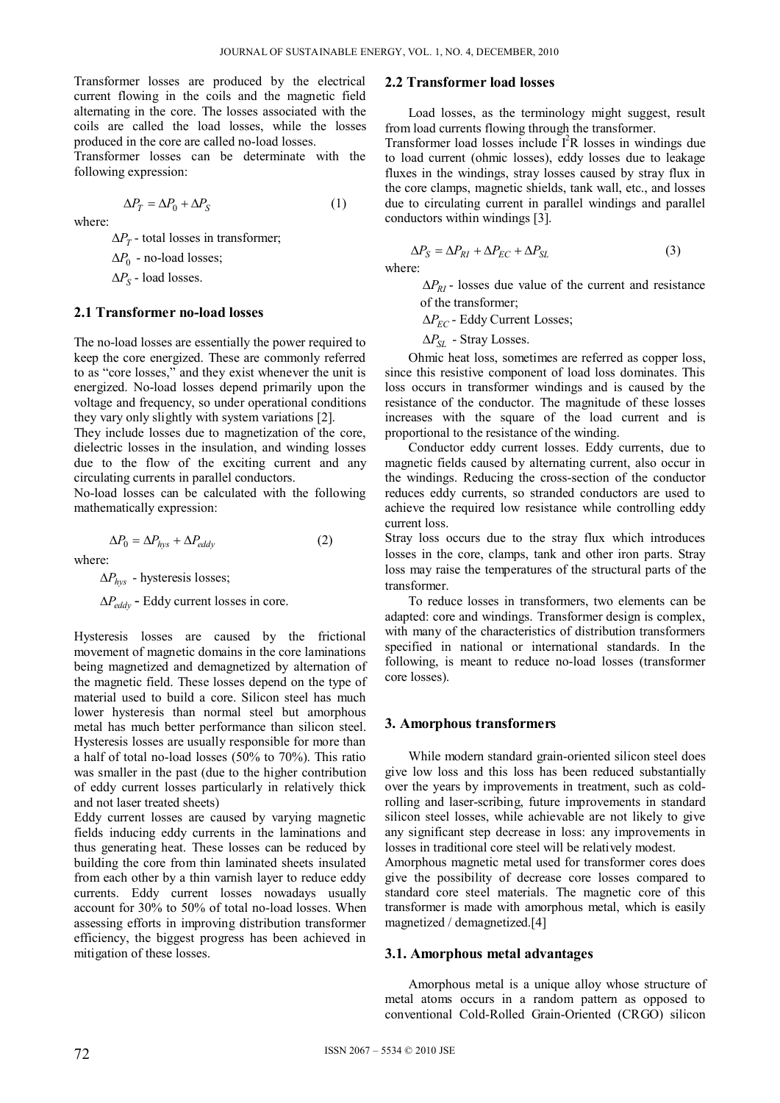where:

Transformer losses are produced by the electrical current flowing in the coils and the magnetic field alternating in the core. The losses associated with the coils are called the load losses, while the losses produced in the core are called no-load losses.

Transformer losses can be determinate with the following expression:

$$
\Delta P_T = \Delta P_0 + \Delta P_S \tag{1}
$$

where:

 $\Delta P_T$  - total losses in transformer;

 $\Delta P_0$  - no-load losses;

 $\Delta P_S$  - load losses.

### **2.1 Transformer no-load losses**

The no-load losses are essentially the power required to keep the core energized. These are commonly referred to as "core losses," and they exist whenever the unit is energized. No-load losses depend primarily upon the voltage and frequency, so under operational conditions they vary only slightly with system variations [2].

They include losses due to magnetization of the core, dielectric losses in the insulation, and winding losses due to the flow of the exciting current and any circulating currents in parallel conductors.

No-load losses can be calculated with the following mathematically expression:

$$
\Delta P_0 = \Delta P_{hys} + \Delta P_{eddy} \tag{2}
$$

where:

 $\Delta P_{hvs}$  - hysteresis losses;

 $\Delta P_{eddv}$  - Eddy current losses in core.

Hysteresis losses are caused by the frictional movement of magnetic domains in the core laminations being magnetized and demagnetized by alternation of the magnetic field. These losses depend on the type of material used to build a core. Silicon steel has much lower hysteresis than normal steel but amorphous metal has much better performance than silicon steel. Hysteresis losses are usually responsible for more than a half of total no-load losses (50% to 70%). This ratio was smaller in the past (due to the higher contribution of eddy current losses particularly in relatively thick and not laser treated sheets)

Eddy current losses are caused by varying magnetic fields inducing eddy currents in the laminations and thus generating heat. These losses can be reduced by building the core from thin laminated sheets insulated from each other by a thin varnish layer to reduce eddy currents. Eddy current losses nowadays usually account for 30% to 50% of total no-load losses. When assessing efforts in improving distribution transformer efficiency, the biggest progress has been achieved in mitigation of these losses.

### **2.2 Transformer load losses**

Load losses, as the terminology might suggest, result from load currents flowing through the transformer.

Transformer load losses include I<sup>2</sup>R losses in windings due to load current (ohmic losses), eddy losses due to leakage fluxes in the windings, stray losses caused by stray flux in the core clamps, magnetic shields, tank wall, etc., and losses due to circulating current in parallel windings and parallel conductors within windings [3].

$$
\Delta P_S = \Delta P_{RI} + \Delta P_{EC} + \Delta P_{SL} \tag{3}
$$

 $\Delta P_{RI}$  - losses due value of the current and resistance of the transformer;

 $\Delta P_{EC}$  - Eddy Current Losses;

 $\Delta P_{\text{SL}}$  - Stray Losses.

Ohmic heat loss, sometimes are referred as copper loss, since this resistive component of load loss dominates. This loss occurs in transformer windings and is caused by the resistance of the conductor. The magnitude of these losses increases with the square of the load current and is proportional to the resistance of the winding.

Conductor eddy current losses. Eddy currents, due to magnetic fields caused by alternating current, also occur in the windings. Reducing the cross-section of the conductor reduces eddy currents, so stranded conductors are used to achieve the required low resistance while controlling eddy current loss.

Stray loss occurs due to the stray flux which introduces losses in the core, clamps, tank and other iron parts. Stray loss may raise the temperatures of the structural parts of the transformer.

To reduce losses in transformers, two elements can be adapted: core and windings. Transformer design is complex, with many of the characteristics of distribution transformers specified in national or international standards. In the following, is meant to reduce no-load losses (transformer core losses).

### **3. Amorphous transformers**

While modern standard grain-oriented silicon steel does give low loss and this loss has been reduced substantially over the years by improvements in treatment, such as coldrolling and laser-scribing, future improvements in standard silicon steel losses, while achievable are not likely to give any significant step decrease in loss: any improvements in losses in traditional core steel will be relatively modest.

Amorphous magnetic metal used for transformer cores does give the possibility of decrease core losses compared to standard core steel materials. The magnetic core of this transformer is made with amorphous metal, which is easily magnetized / demagnetized.[4]

#### **3.1. Amorphous metal advantages**

Amorphous metal is a unique alloy whose structure of metal atoms occurs in a random pattern as opposed to conventional Cold-Rolled Grain-Oriented (CRGO) silicon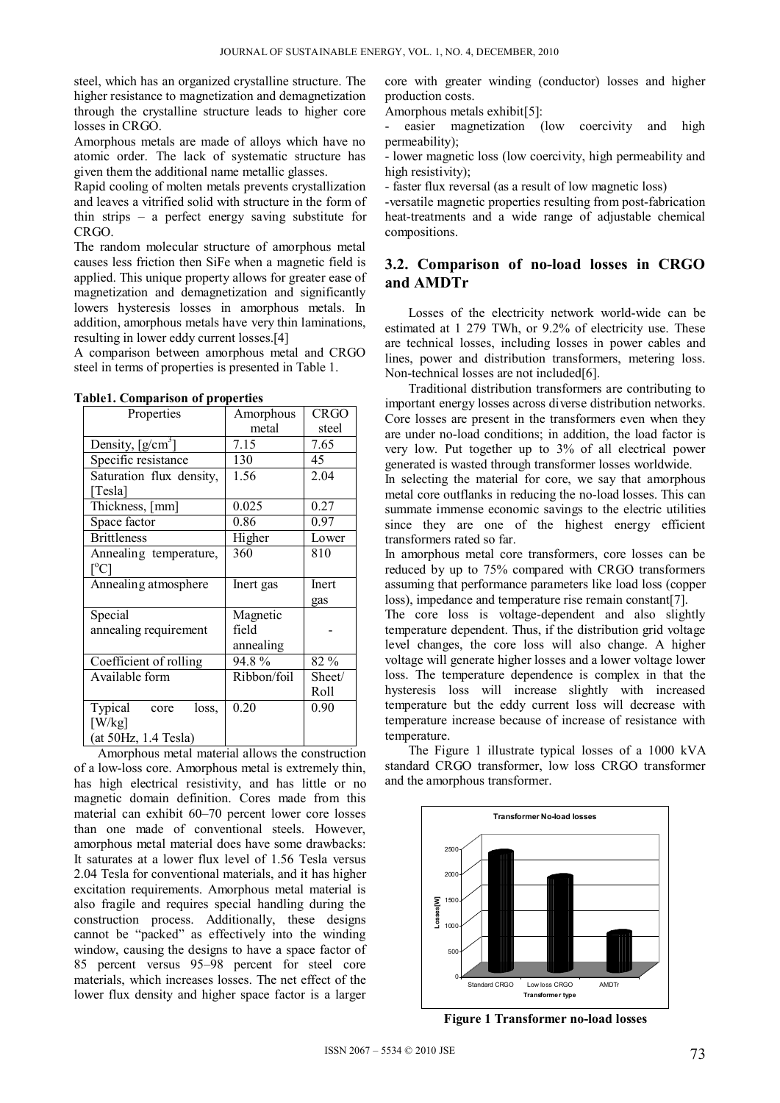steel, which has an organized crystalline structure. The higher resistance to magnetization and demagnetization through the crystalline structure leads to higher core losses in CRGO.

Amorphous metals are made of alloys which have no atomic order. The lack of systematic structure has given them the additional name metallic glasses.

Rapid cooling of molten metals prevents crystallization and leaves a vitrified solid with structure in the form of thin strips – a perfect energy saving substitute for CRGO.

The random molecular structure of amorphous metal causes less friction then SiFe when a magnetic field is applied. This unique property allows for greater ease of magnetization and demagnetization and significantly lowers hysteresis losses in amorphous metals. In addition, amorphous metals have very thin laminations, resulting in lower eddy current losses.[4]

A comparison between amorphous metal and CRGO steel in terms of properties is presented in Table 1.

| Properties                                  | Amorphous   | <b>CRGO</b> |
|---------------------------------------------|-------------|-------------|
|                                             | metal       | steel       |
| Density, $[g/cm^3]$                         | 7.15        | 7.65        |
| Specific resistance                         | 130         | 45          |
| Saturation flux density,<br>[Tesla]         | 1.56        | 2.04        |
| Thickness, [mm]                             | 0.025       | 0.27        |
| Space factor                                | 0.86        | 0.97        |
| <b>Brittleness</b>                          | Higher      | Lower       |
| Annealing temperature,<br>$\rm [^{\circ}C]$ | 360         | 810         |
| Annealing atmosphere                        | Inert gas   | Inert       |
|                                             |             | gas         |
| Special                                     | Magnetic    |             |
| annealing requirement                       | field       |             |
|                                             | annealing   |             |
| Coefficient of rolling                      | 94.8%       | 82 %        |
| Available form                              | Ribbon/foil | Sheet/      |
|                                             |             | Roll        |
| Typical<br>loss,<br>core                    | 0.20        | 0.90        |
| [W/kg]                                      |             |             |
| (at 50Hz, 1.4 Tesla)                        |             |             |

**Table1. Comparison of properties** 

Amorphous metal material allows the construction of a low-loss core. Amorphous metal is extremely thin, has high electrical resistivity, and has little or no magnetic domain definition. Cores made from this material can exhibit 60–70 percent lower core losses than one made of conventional steels. However, amorphous metal material does have some drawbacks: It saturates at a lower flux level of 1.56 Tesla versus 2.04 Tesla for conventional materials, and it has higher excitation requirements. Amorphous metal material is also fragile and requires special handling during the construction process. Additionally, these designs cannot be "packed" as effectively into the winding window, causing the designs to have a space factor of 85 percent versus 95–98 percent for steel core materials, which increases losses. The net effect of the lower flux density and higher space factor is a larger core with greater winding (conductor) losses and higher production costs.

Amorphous metals exhibit[5]:

easier magnetization (low coercivity and high permeability);

- lower magnetic loss (low coercivity, high permeability and high resistivity);

- faster flux reversal (as a result of low magnetic loss)

-versatile magnetic properties resulting from post-fabrication heat-treatments and a wide range of adjustable chemical compositions.

# **3.2. Comparison of no-load losses in CRGO and AMDTr**

Losses of the electricity network world-wide can be estimated at 1 279 TWh, or 9.2% of electricity use. These are technical losses, including losses in power cables and lines, power and distribution transformers, metering loss. Non-technical losses are not included[6].

Traditional distribution transformers are contributing to important energy losses across diverse distribution networks. Core losses are present in the transformers even when they are under no-load conditions; in addition, the load factor is very low. Put together up to 3% of all electrical power generated is wasted through transformer losses worldwide.

In selecting the material for core, we say that amorphous metal core outflanks in reducing the no-load losses. This can summate immense economic savings to the electric utilities since they are one of the highest energy efficient transformers rated so far.

In amorphous metal core transformers, core losses can be reduced by up to 75% compared with CRGO transformers assuming that performance parameters like load loss (copper loss), impedance and temperature rise remain constant[7].

The core loss is voltage-dependent and also slightly temperature dependent. Thus, if the distribution grid voltage level changes, the core loss will also change. A higher voltage will generate higher losses and a lower voltage lower loss. The temperature dependence is complex in that the hysteresis loss will increase slightly with increased temperature but the eddy current loss will decrease with temperature increase because of increase of resistance with temperature.

The Figure 1 illustrate typical losses of a 1000 kVA standard CRGO transformer, low loss CRGO transformer and the amorphous transformer.



**Figure 1 Transformer no-load losses**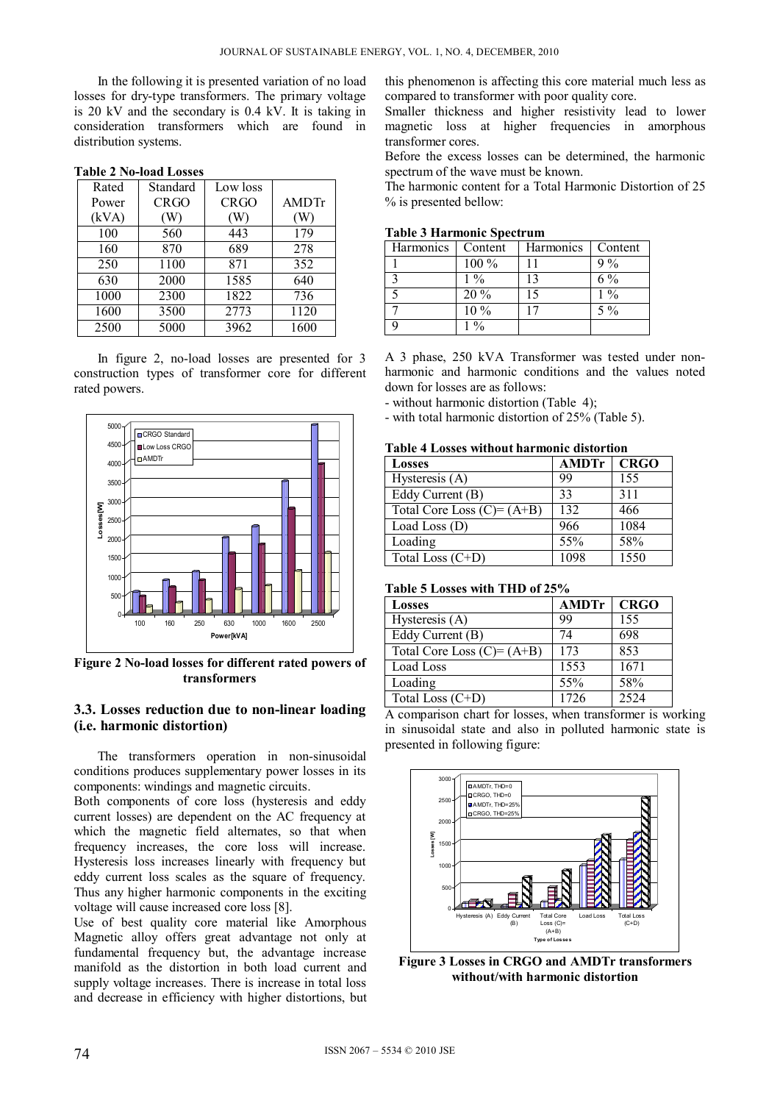In the following it is presented variation of no load losses for dry-type transformers. The primary voltage is 20 kV and the secondary is 0.4 kV. It is taking in consideration transformers which are found in distribution systems.

| Rated | Standard    | Low loss    |       |
|-------|-------------|-------------|-------|
| Power | <b>CRGO</b> | <b>CRGO</b> | AMDTr |
| (kVA) | W)          | W           | W)    |
| 100   | 560         | 443         | 179   |
| 160   | 870         | 689         | 278   |
| 250   | 1100        | 871         | 352   |
| 630   | 2000        | 1585        | 640   |
| 1000  | 2300        | 1822        | 736   |
| 1600  | 3500        | 2773        | 1120  |
| 2500  | 5000        | 3962        | 1600  |

**Table 2 No-load Losses** 

In figure 2, no-load losses are presented for 3 construction types of transformer core for different rated powers.



**Figure 2 No-load losses for different rated powers of transformers** 

### **3.3. Losses reduction due to non-linear loading (i.e. harmonic distortion)**

The transformers operation in non-sinusoidal conditions produces supplementary power losses in its components: windings and magnetic circuits.

Both components of core loss (hysteresis and eddy current losses) are dependent on the AC frequency at which the magnetic field alternates, so that when frequency increases, the core loss will increase. Hysteresis loss increases linearly with frequency but eddy current loss scales as the square of frequency. Thus any higher harmonic components in the exciting voltage will cause increased core loss [8].

Use of best quality core material like Amorphous Magnetic alloy offers great advantage not only at fundamental frequency but, the advantage increase manifold as the distortion in both load current and supply voltage increases. There is increase in total loss and decrease in efficiency with higher distortions, but this phenomenon is affecting this core material much less as compared to transformer with poor quality core.

Smaller thickness and higher resistivity lead to lower magnetic loss at higher frequencies in amorphous transformer cores.

Before the excess losses can be determined, the harmonic spectrum of the wave must be known.

The harmonic content for a Total Harmonic Distortion of 25 % is presented bellow:

|  | <b>Table 3 Harmonic Spectrum</b> |  |
|--|----------------------------------|--|
|--|----------------------------------|--|

| Harmonics | Content | Harmonics | Content |
|-----------|---------|-----------|---------|
|           | 100 %   |           | 9%      |
|           | $1\%$   | 13        | $6\%$   |
|           | 20 %    | 15        | $1\%$   |
|           | 10 %    | 17        | $5\%$   |
|           | 0/2     |           |         |

A 3 phase, 250 kVA Transformer was tested under nonharmonic and harmonic conditions and the values noted down for losses are as follows:

- without harmonic distortion (Table 4);

- with total harmonic distortion of 25% (Table 5).

**Table 4 Losses without harmonic distortion** 

| <b>Losses</b>               | <b>AMDTr</b> | <b>CRGO</b> |
|-----------------------------|--------------|-------------|
| Hysteresis (A)              | 99           | 155         |
| Eddy Current (B)            | 33           | 311         |
| Total Core Loss $(C)=(A+B)$ | 132          | 466         |
| Load Loss $(D)$             | 966          | 1084        |
| Loading                     | 55%          | 58%         |
| Total Loss (C+D)            | 1098         | 1550        |

| Table 5 Losses with THD of 25% |  |
|--------------------------------|--|
|--------------------------------|--|

| <b>Losses</b>               | <b>AMDTr</b> | <b>CRGO</b> |
|-----------------------------|--------------|-------------|
| Hysteresis (A)              | 99           | 155         |
| Eddy Current (B)            | 74           | 698         |
| Total Core Loss $(C)=(A+B)$ | 173          | 853         |
| Load Loss                   | 1553         | 1671        |
| Loading                     | 55%          | 58%         |
| Total Loss (C+D)            | 1726         | 2524        |

A comparison chart for losses, when transformer is working in sinusoidal state and also in polluted harmonic state is presented in following figure:



**Figure 3 Losses in CRGO and AMDTr transformers without/with harmonic distortion**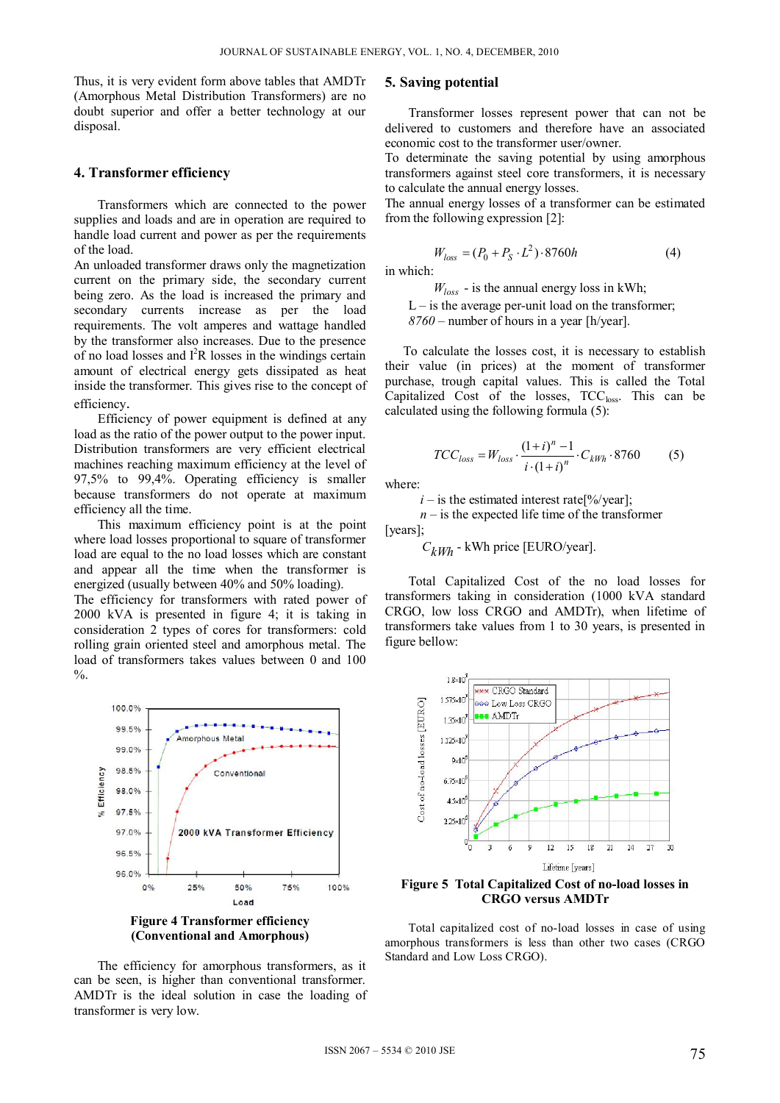Thus, it is very evident form above tables that AMDTr (Amorphous Metal Distribution Transformers) are no doubt superior and offer a better technology at our disposal.

### **4. Transformer efficiency**

Transformers which are connected to the power supplies and loads and are in operation are required to handle load current and power as per the requirements of the load.

An unloaded transformer draws only the magnetization current on the primary side, the secondary current being zero. As the load is increased the primary and secondary currents increase as per the load requirements. The volt amperes and wattage handled by the transformer also increases. Due to the presence of no load losses and  $I^2R$  losses in the windings certain amount of electrical energy gets dissipated as heat inside the transformer. This gives rise to the concept of efficiency.

Efficiency of power equipment is defined at any load as the ratio of the power output to the power input. Distribution transformers are very efficient electrical machines reaching maximum efficiency at the level of 97,5% to 99,4%. Operating efficiency is smaller because transformers do not operate at maximum efficiency all the time.

This maximum efficiency point is at the point where load losses proportional to square of transformer load are equal to the no load losses which are constant and appear all the time when the transformer is energized (usually between 40% and 50% loading).

The efficiency for transformers with rated power of 2000 kVA is presented in figure 4; it is taking in consideration 2 types of cores for transformers: cold rolling grain oriented steel and amorphous metal. The load of transformers takes values between 0 and 100  $\%$ .



The efficiency for amorphous transformers, as it can be seen, is higher than conventional transformer. AMDTr is the ideal solution in case the loading of transformer is very low.

### **5. Saving potential**

Transformer losses represent power that can not be delivered to customers and therefore have an associated economic cost to the transformer user/owner.

To determinate the saving potential by using amorphous transformers against steel core transformers, it is necessary to calculate the annual energy losses.

The annual energy losses of a transformer can be estimated from the following expression [2]:

$$
W_{loss} = (P_0 + P_S \cdot L^2) \cdot 8760h \tag{4}
$$

 $W_{loss}$  - is the annual energy loss in kWh;

 $L -$  is the average per-unit load on the transformer; *8760* – number of hours in a year [h/year].

To calculate the losses cost, it is necessary to establish their value (in prices) at the moment of transformer purchase, trough capital values. This is called the Total Capitalized Cost of the losses,  $TCC<sub>loss</sub>$ . This can be calculated using the following formula (5):

$$
TCC_{loss} = W_{loss} \cdot \frac{(1+i)^n - 1}{i \cdot (1+i)^n} \cdot C_{kWh} \cdot 8760
$$
 (5)

where:

in which:

 $i -$  is the estimated interest rate<sup>[%</sup>/year];

 $n -$  is the expected life time of the transformer [years];

 $C_{kWh}$  - kWh price [EURO/year].

Total Capitalized Cost of the no load losses for transformers taking in consideration (1000 kVA standard CRGO, low loss CRGO and AMDTr), when lifetime of transformers take values from 1 to 30 years, is presented in figure bellow:



**Figure 5 Total Capitalized Cost of no-load losses in CRGO versus AMDTr** 

Total capitalized cost of no-load losses in case of using amorphous transformers is less than other two cases (CRGO Standard and Low Loss CRGO).